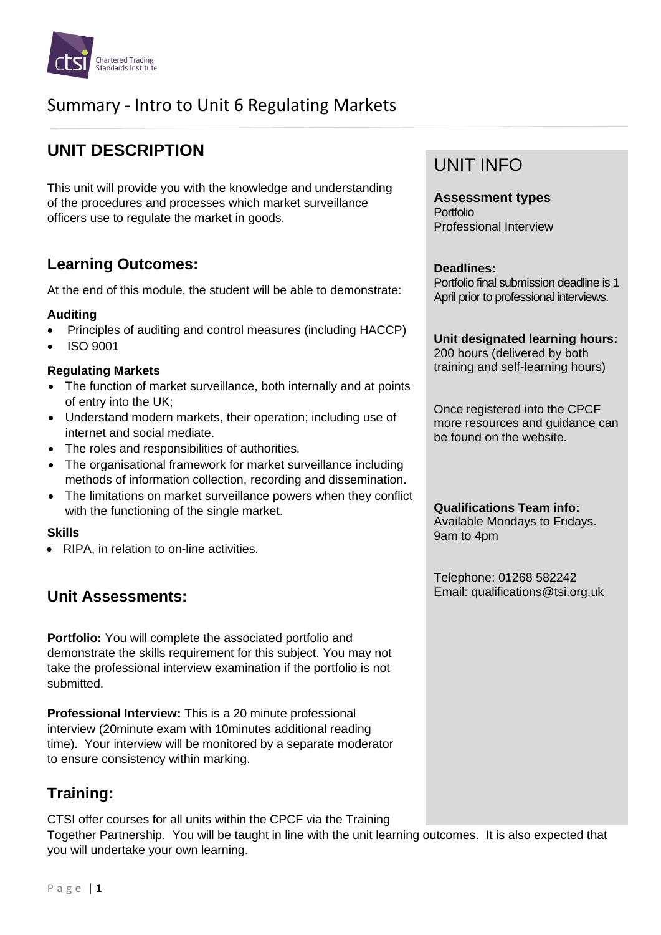

# Summary - Intro to Unit 6 Regulating Markets

# **UNIT DESCRIPTION**

This unit will provide you with the knowledge and understanding of the procedures and processes which market surveillance officers use to regulate the market in goods.

### **Learning Outcomes:**

At the end of this module, the student will be able to demonstrate:

### **Auditing**

- Principles of auditing and control measures (including HACCP)
- ISO 9001

#### **Regulating Markets**

- The function of market surveillance, both internally and at points of entry into the UK;
- Understand modern markets, their operation; including use of internet and social mediate.
- The roles and responsibilities of authorities.
- The organisational framework for market surveillance including methods of information collection, recording and dissemination.
- The limitations on market surveillance powers when they conflict with the functioning of the single market.

### **Skills**

• RIPA, in relation to on-line activities.

## **Unit Assessments:**

**Portfolio:** You will complete the associated portfolio and demonstrate the skills requirement for this subject. You may not take the professional interview examination if the portfolio is not submitted.

**Professional Interview:** This is a 20 minute professional interview (20minute exam with 10minutes additional reading time). Your interview will be monitored by a separate moderator to ensure consistency within marking.

## **Training:**

CTSI offer courses for all units within the CPCF via the Training Together Partnership. You will be taught in line with the unit learning outcomes. It is also expected that you will undertake your own learning.

## UNIT INFO

**Assessment types** Portfolio Professional Interview

#### **Deadlines:**

Portfolio final submission deadline is 1 April prior to professional interviews.

**Unit designated learning hours:** 200 hours (delivered by both

training and self-learning hours)

Once registered into the CPCF more resources and guidance can be found on the website.

**Qualifications Team info:** Available Mondays to Fridays. 9am to 4pm

Telephone: 01268 582242 Email: qualifications@tsi.org.uk